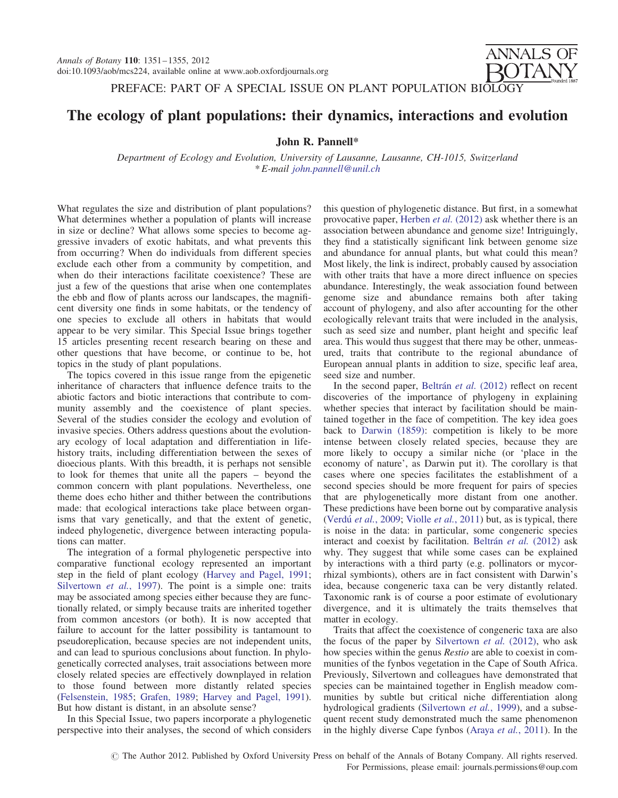## The ecology of plant populations: their dynamics, interactions and evolution

PREFACE: PART OF A SPECIAL ISSUE ON PLANT POPULATION BIOLOGY

John R. Pannell\*

Department of Ecology and Evolution, University of Lausanne, Lausanne, CH-1015, Switzerland \* E-mail [john.pannell@unil.ch](mailto:john.pannell@unil.ch)

What regulates the size and distribution of plant populations? What determines whether a population of plants will increase in size or decline? What allows some species to become aggressive invaders of exotic habitats, and what prevents this from occurring? When do individuals from different species exclude each other from a community by competition, and when do their interactions facilitate coexistence? These are just a few of the questions that arise when one contemplates the ebb and flow of plants across our landscapes, the magnificent diversity one finds in some habitats, or the tendency of one species to exclude all others in habitats that would appear to be very similar. This Special Issue brings together 15 articles presenting recent research bearing on these and other questions that have become, or continue to be, hot topics in the study of plant populations.

The topics covered in this issue range from the epigenetic inheritance of characters that influence defence traits to the abiotic factors and biotic interactions that contribute to community assembly and the coexistence of plant species. Several of the studies consider the ecology and evolution of invasive species. Others address questions about the evolutionary ecology of local adaptation and differentiation in lifehistory traits, including differentiation between the sexes of dioecious plants. With this breadth, it is perhaps not sensible to look for themes that unite all the papers – beyond the common concern with plant populations. Nevertheless, one theme does echo hither and thither between the contributions made: that ecological interactions take place between organisms that vary genetically, and that the extent of genetic, indeed phylogenetic, divergence between interacting populations can matter.

The integration of a formal phylogenetic perspective into comparative functional ecology represented an important step in the field of plant ecology ([Harvey and Pagel, 1991;](#page-4-0) [Silvertown](#page-4-0) et al., 1997). The point is a simple one: traits may be associated among species either because they are functionally related, or simply because traits are inherited together from common ancestors (or both). It is now accepted that failure to account for the latter possibility is tantamount to pseudoreplication, because species are not independent units, and can lead to spurious conclusions about function. In phylogenetically corrected analyses, trait associations between more closely related species are effectively downplayed in relation to those found between more distantly related species [\(Felsenstein, 1985;](#page-4-0) [Grafen, 1989;](#page-4-0) [Harvey and Pagel, 1991\)](#page-4-0). But how distant is distant, in an absolute sense?

In this Special Issue, two papers incorporate a phylogenetic perspective into their analyses, the second of which considers this question of phylogenetic distance. But first, in a somewhat provocative paper, [Herben](#page-4-0) et al. (2012) ask whether there is an association between abundance and genome size! Intriguingly, they find a statistically significant link between genome size and abundance for annual plants, but what could this mean? Most likely, the link is indirect, probably caused by association with other traits that have a more direct influence on species abundance. Interestingly, the weak association found between genome size and abundance remains both after taking account of phylogeny, and also after accounting for the other ecologically relevant traits that were included in the analysis, such as seed size and number, plant height and specific leaf area. This would thus suggest that there may be other, unmeasured, traits that contribute to the regional abundance of European annual plants in addition to size, specific leaf area, seed size and number.

**ANNALS OF BOTANY** 

In the second paper, Beltrán et al.  $(2012)$  reflect on recent discoveries of the importance of phylogeny in explaining whether species that interact by facilitation should be maintained together in the face of competition. The key idea goes back to [Darwin \(1859\):](#page-4-0) competition is likely to be more intense between closely related species, because they are more likely to occupy a similar niche (or 'place in the economy of nature', as Darwin put it). The corollary is that cases where one species facilitates the establishment of a second species should be more frequent for pairs of species that are phylogenetically more distant from one another. These predictions have been borne out by comparative analysis (Verdú et al.[, 2009](#page-4-0); Violle et al.[, 2011\)](#page-4-0) but, as is typical, there is noise in the data: in particular, some congeneric species interact and coexist by facilitation. Beltrán et al.  $(2012)$  ask why. They suggest that while some cases can be explained by interactions with a third party (e.g. pollinators or mycorrhizal symbionts), others are in fact consistent with Darwin's idea, because congeneric taxa can be very distantly related. Taxonomic rank is of course a poor estimate of evolutionary divergence, and it is ultimately the traits themselves that matter in ecology.

Traits that affect the coexistence of congeneric taxa are also the focus of the paper by [Silvertown](#page-4-0)  $et$  al. (2012), who ask how species within the genus Restio are able to coexist in communities of the fynbos vegetation in the Cape of South Africa. Previously, Silvertown and colleagues have demonstrated that species can be maintained together in English meadow communities by subtle but critical niche differentiation along hydrological gradients [\(Silvertown](#page-4-0) et al., 1999), and a subsequent recent study demonstrated much the same phenomenon in the highly diverse Cape fynbos (Araya et al.[, 2011\)](#page-3-0). In the

# The Author 2012. Published by Oxford University Press on behalf of the Annals of Botany Company. All rights reserved. For Permissions, please email: journals.permissions@oup.com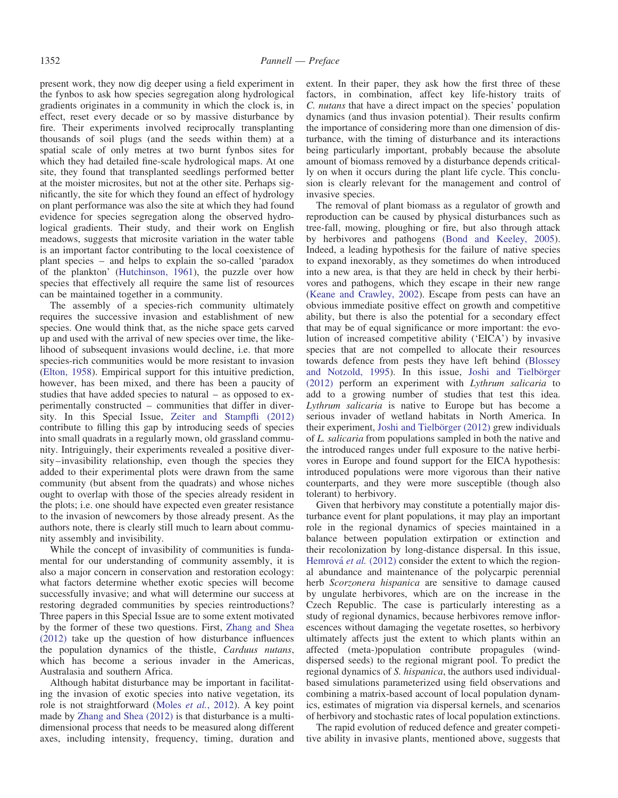present work, they now dig deeper using a field experiment in the fynbos to ask how species segregation along hydrological gradients originates in a community in which the clock is, in effect, reset every decade or so by massive disturbance by fire. Their experiments involved reciprocally transplanting thousands of soil plugs (and the seeds within them) at a spatial scale of only metres at two burnt fynbos sites for which they had detailed fine-scale hydrological maps. At one site, they found that transplanted seedlings performed better at the moister microsites, but not at the other site. Perhaps significantly, the site for which they found an effect of hydrology on plant performance was also the site at which they had found evidence for species segregation along the observed hydrological gradients. Their study, and their work on English meadows, suggests that microsite variation in the water table is an important factor contributing to the local coexistence of plant species – and helps to explain the so-called 'paradox of the plankton' ([Hutchinson, 1961\)](#page-4-0), the puzzle over how species that effectively all require the same list of resources can be maintained together in a community.

The assembly of a species-rich community ultimately requires the successive invasion and establishment of new species. One would think that, as the niche space gets carved up and used with the arrival of new species over time, the likelihood of subsequent invasions would decline, i.e. that more species-rich communities would be more resistant to invasion ([Elton, 1958\)](#page-4-0). Empirical support for this intuitive prediction, however, has been mixed, and there has been a paucity of studies that have added species to natural – as opposed to experimentally constructed – communities that differ in diversity. In this Special Issue, [Zeiter and Stampfli \(2012\)](#page-4-0) contribute to filling this gap by introducing seeds of species into small quadrats in a regularly mown, old grassland community. Intriguingly, their experiments revealed a positive diversity –invasibility relationship, even though the species they added to their experimental plots were drawn from the same community (but absent from the quadrats) and whose niches ought to overlap with those of the species already resident in the plots; i.e. one should have expected even greater resistance to the invasion of newcomers by those already present. As the authors note, there is clearly still much to learn about community assembly and invisibility.

While the concept of invasibility of communities is fundamental for our understanding of community assembly, it is also a major concern in conservation and restoration ecology: what factors determine whether exotic species will become successfully invasive; and what will determine our success at restoring degraded communities by species reintroductions? Three papers in this Special Issue are to some extent motivated by the former of these two questions. First, [Zhang and Shea](#page-4-0) [\(2012\)](#page-4-0) take up the question of how disturbance influences the population dynamics of the thistle, Carduus nutans, which has become a serious invader in the Americas, Australasia and southern Africa.

Although habitat disturbance may be important in facilitating the invasion of exotic species into native vegetation, its role is not straightforward (Moles et al.[, 2012\)](#page-4-0). A key point made by [Zhang and Shea \(2012\)](#page-4-0) is that disturbance is a multidimensional process that needs to be measured along different axes, including intensity, frequency, timing, duration and extent. In their paper, they ask how the first three of these factors, in combination, affect key life-history traits of C. nutans that have a direct impact on the species' population dynamics (and thus invasion potential). Their results confirm the importance of considering more than one dimension of disturbance, with the timing of disturbance and its interactions being particularly important, probably because the absolute amount of biomass removed by a disturbance depends critically on when it occurs during the plant life cycle. This conclusion is clearly relevant for the management and control of invasive species.

The removal of plant biomass as a regulator of growth and reproduction can be caused by physical disturbances such as tree-fall, mowing, ploughing or fire, but also through attack by herbivores and pathogens ([Bond and Keeley, 2005\)](#page-4-0). Indeed, a leading hypothesis for the failure of native species to expand inexorably, as they sometimes do when introduced into a new area, is that they are held in check by their herbivores and pathogens, which they escape in their new range ([Keane and Crawley, 2002](#page-4-0)). Escape from pests can have an obvious immediate positive effect on growth and competitive ability, but there is also the potential for a secondary effect that may be of equal significance or more important: the evolution of increased competitive ability ('EICA') by invasive species that are not compelled to allocate their resources towards defence from pests they have left behind [\(Blossey](#page-4-0) [and Notzold, 1995](#page-4-0)). In this issue, Joshi and Tielbörger [\(2012\)](#page-4-0) perform an experiment with Lythrum salicaria to add to a growing number of studies that test this idea. Lythrum salicaria is native to Europe but has become a serious invader of wetland habitats in North America. In their experiment, Joshi and Tielbörger (2012) grew individuals of L. salicaria from populations sampled in both the native and the introduced ranges under full exposure to the native herbivores in Europe and found support for the EICA hypothesis: introduced populations were more vigorous than their native counterparts, and they were more susceptible (though also tolerant) to herbivory.

Given that herbivory may constitute a potentially major disturbance event for plant populations, it may play an important role in the regional dynamics of species maintained in a balance between population extirpation or extinction and their recolonization by long-distance dispersal. In this issue, Hemrová et al.  $(2012)$  consider the extent to which the regional abundance and maintenance of the polycarpic perennial herb Scorzonera hispanica are sensitive to damage caused by ungulate herbivores, which are on the increase in the Czech Republic. The case is particularly interesting as a study of regional dynamics, because herbivores remove inflorescences without damaging the vegetate rosettes, so herbivory ultimately affects just the extent to which plants within an affected (meta-)population contribute propagules (winddispersed seeds) to the regional migrant pool. To predict the regional dynamics of S. hispanica, the authors used individualbased simulations parameterized using field observations and combining a matrix-based account of local population dynamics, estimates of migration via dispersal kernels, and scenarios of herbivory and stochastic rates of local population extinctions.

The rapid evolution of reduced defence and greater competitive ability in invasive plants, mentioned above, suggests that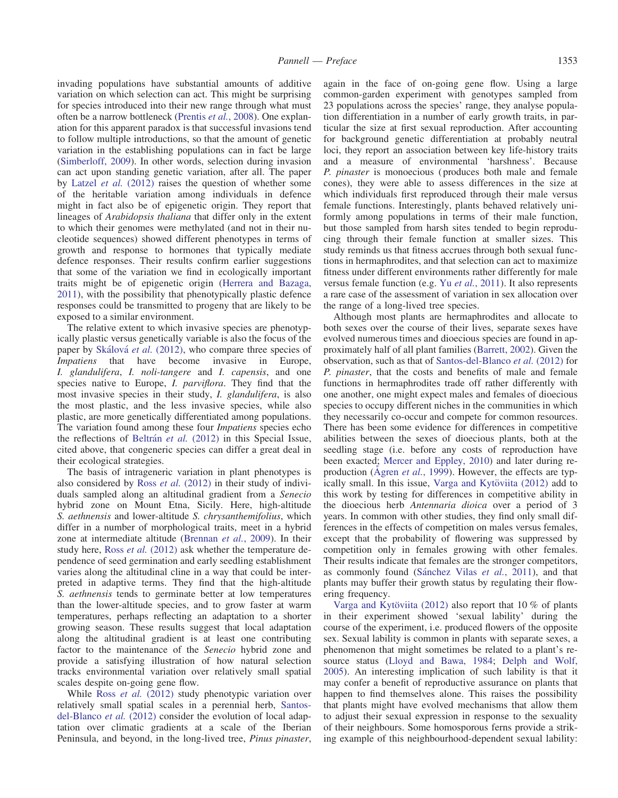invading populations have substantial amounts of additive variation on which selection can act. This might be surprising for species introduced into their new range through what must often be a narrow bottleneck [\(Prentis](#page-4-0) et al., 2008). One explanation for this apparent paradox is that successful invasions tend to follow multiple introductions, so that the amount of genetic variation in the establishing populations can in fact be large [\(Simberloff, 2009\)](#page-4-0). In other words, selection during invasion can act upon standing genetic variation, after all. The paper by Latzel et al. [\(2012\)](#page-4-0) raises the question of whether some of the heritable variation among individuals in defence might in fact also be of epigenetic origin. They report that lineages of Arabidopsis thaliana that differ only in the extent to which their genomes were methylated (and not in their nucleotide sequences) showed different phenotypes in terms of growth and response to hormones that typically mediate defence responses. Their results confirm earlier suggestions that some of the variation we find in ecologically important traits might be of epigenetic origin ([Herrera and Bazaga,](#page-4-0) [2011\)](#page-4-0), with the possibility that phenotypically plastic defence responses could be transmitted to progeny that are likely to be exposed to a similar environment.

The relative extent to which invasive species are phenotypically plastic versus genetically variable is also the focus of the paper by Skálová et al. (2012), who compare three species of Impatiens that have become invasive in Europe, I. glandulifera, I. noli-tangere and I. capensis, and one species native to Europe, *I. parviflora*. They find that the most invasive species in their study, *I. glandulifera*, is also the most plastic, and the less invasive species, while also plastic, are more genetically differentiated among populations. The variation found among these four Impatiens species echo the reflections of Beltrán et al.  $(2012)$  in this Special Issue, cited above, that congeneric species can differ a great deal in their ecological strategies.

The basis of intrageneric variation in plant phenotypes is also considered by Ross et al. [\(2012\)](#page-4-0) in their study of individuals sampled along an altitudinal gradient from a Senecio hybrid zone on Mount Etna, Sicily. Here, high-altitude S. aethnensis and lower-altitude S. chrysanthemifolius, which differ in a number of morphological traits, meet in a hybrid zone at intermediate altitude [\(Brennan](#page-4-0) et al., 2009). In their study here, Ross et al. [\(2012\)](#page-4-0) ask whether the temperature dependence of seed germination and early seedling establishment varies along the altitudinal cline in a way that could be interpreted in adaptive terms. They find that the high-altitude S. aethnensis tends to germinate better at low temperatures than the lower-altitude species, and to grow faster at warm temperatures, perhaps reflecting an adaptation to a shorter growing season. These results suggest that local adaptation along the altitudinal gradient is at least one contributing factor to the maintenance of the Senecio hybrid zone and provide a satisfying illustration of how natural selection tracks environmental variation over relatively small spatial scales despite on-going gene flow.

While Ross et al. [\(2012\)](#page-4-0) study phenotypic variation over relatively small spatial scales in a perennial herb, [Santos](#page-4-0)[del-Blanco](#page-4-0) et al. (2012) consider the evolution of local adaptation over climatic gradients at a scale of the Iberian Peninsula, and beyond, in the long-lived tree, Pinus pinaster, again in the face of on-going gene flow. Using a large common-garden experiment with genotypes sampled from 23 populations across the species' range, they analyse population differentiation in a number of early growth traits, in particular the size at first sexual reproduction. After accounting for background genetic differentiation at probably neutral loci, they report an association between key life-history traits and a measure of environmental 'harshness'. Because P. pinaster is monoecious ( produces both male and female cones), they were able to assess differences in the size at which individuals first reproduced through their male versus female functions. Interestingly, plants behaved relatively uniformly among populations in terms of their male function, but those sampled from harsh sites tended to begin reproducing through their female function at smaller sizes. This study reminds us that fitness accrues through both sexual functions in hermaphrodites, and that selection can act to maximize fitness under different environments rather differently for male versus female function (e.g. Yu et al.[, 2011](#page-4-0)). It also represents a rare case of the assessment of variation in sex allocation over the range of a long-lived tree species.

Although most plants are hermaphrodites and allocate to both sexes over the course of their lives, separate sexes have evolved numerous times and dioecious species are found in approximately half of all plant families ([Barrett, 2002\)](#page-4-0). Given the observation, such as that of [Santos-del-Blanco](#page-4-0) et al. (2012) for P. pinaster, that the costs and benefits of male and female functions in hermaphrodites trade off rather differently with one another, one might expect males and females of dioecious species to occupy different niches in the communities in which they necessarily co-occur and compete for common resources. There has been some evidence for differences in competitive abilities between the sexes of dioecious plants, both at the seedling stage (i.e. before any costs of reproduction have been exacted; [Mercer and Eppley, 2010](#page-4-0)) and later during reproduction ( $\text{A}$ gren *et al.*[, 1999\)](#page-3-0). However, the effects are typically small. In this issue, Varga and Kytöviita (2012) add to this work by testing for differences in competitive ability in the dioecious herb Antennaria dioica over a period of 3 years. In common with other studies, they find only small differences in the effects of competition on males versus females, except that the probability of flowering was suppressed by competition only in females growing with other females. Their results indicate that females are the stronger competitors, as commonly found (Sánchez Vilas  $et \ al., 2011$ ), and that plants may buffer their growth status by regulating their flowering frequency.

Varga and Kytöviita (2012) also report that 10 % of plants in their experiment showed 'sexual lability' during the course of the experiment, i.e. produced flowers of the opposite sex. Sexual lability is common in plants with separate sexes, a phenomenon that might sometimes be related to a plant's resource status ([Lloyd and Bawa, 1984;](#page-4-0) [Delph and Wolf,](#page-4-0) [2005\)](#page-4-0). An interesting implication of such lability is that it may confer a benefit of reproductive assurance on plants that happen to find themselves alone. This raises the possibility that plants might have evolved mechanisms that allow them to adjust their sexual expression in response to the sexuality of their neighbours. Some homosporous ferns provide a striking example of this neighbourhood-dependent sexual lability: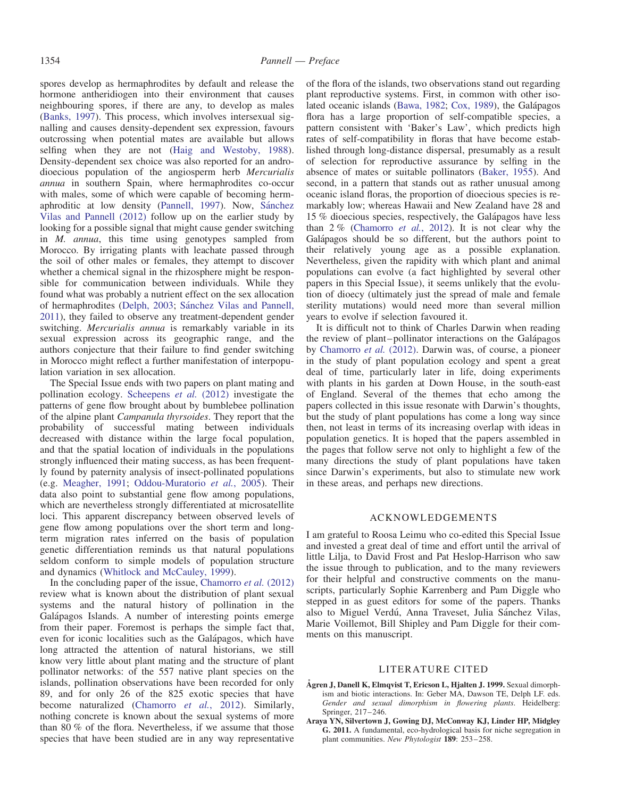<span id="page-3-0"></span>spores develop as hermaphrodites by default and release the hormone antheridiogen into their environment that causes neighbouring spores, if there are any, to develop as males ([Banks, 1997\)](#page-4-0). This process, which involves intersexual signalling and causes density-dependent sex expression, favours outcrossing when potential mates are available but allows selfing when they are not ([Haig and Westoby, 1988\)](#page-4-0). Density-dependent sex choice was also reported for an androdioecious population of the angiosperm herb Mercurialis annua in southern Spain, where hermaphrodites co-occur with males, some of which were capable of becoming herm-aphroditic at low density [\(Pannell, 1997](#page-4-0)). Now, Sánchez [Vilas and Pannell \(2012\)](#page-4-0) follow up on the earlier study by looking for a possible signal that might cause gender switching in M. annua, this time using genotypes sampled from Morocco. By irrigating plants with leachate passed through the soil of other males or females, they attempt to discover whether a chemical signal in the rhizosphere might be responsible for communication between individuals. While they found what was probably a nutrient effect on the sex allocation of hermaphrodites [\(Delph, 2003;](#page-4-0) Sánchez Vilas and Pannell, [2011](#page-4-0)), they failed to observe any treatment-dependent gender switching. Mercurialis annua is remarkably variable in its sexual expression across its geographic range, and the authors conjecture that their failure to find gender switching in Morocco might reflect a further manifestation of interpopulation variation in sex allocation.

The Special Issue ends with two papers on plant mating and pollination ecology. [Scheepens](#page-4-0) et al. (2012) investigate the patterns of gene flow brought about by bumblebee pollination of the alpine plant Campanula thyrsoides. They report that the probability of successful mating between individuals decreased with distance within the large focal population, and that the spatial location of individuals in the populations strongly influenced their mating success, as has been frequently found by paternity analysis of insect-pollinated populations (e.g. [Meagher, 1991](#page-4-0); [Oddou-Muratorio](#page-4-0) et al., 2005). Their data also point to substantial gene flow among populations, which are nevertheless strongly differentiated at microsatellite loci. This apparent discrepancy between observed levels of gene flow among populations over the short term and longterm migration rates inferred on the basis of population genetic differentiation reminds us that natural populations seldom conform to simple models of population structure and dynamics ([Whitlock and McCauley, 1999](#page-4-0)).

In the concluding paper of the issue, [Chamorro](#page-4-0) et al. (2012) review what is known about the distribution of plant sexual systems and the natural history of pollination in the Galápagos Islands. A number of interesting points emerge from their paper. Foremost is perhaps the simple fact that, even for iconic localities such as the Galápagos, which have long attracted the attention of natural historians, we still know very little about plant mating and the structure of plant pollinator networks: of the 557 native plant species on the islands, pollination observations have been recorded for only 89, and for only 26 of the 825 exotic species that have become naturalized [\(Chamorro](#page-4-0) et al., 2012). Similarly, nothing concrete is known about the sexual systems of more than 80 % of the flora. Nevertheless, if we assume that those species that have been studied are in any way representative

of the flora of the islands, two observations stand out regarding plant reproductive systems. First, in common with other iso-lated oceanic islands ([Bawa, 1982](#page-4-0); [Cox, 1989](#page-4-0)), the Galápagos flora has a large proportion of self-compatible species, a pattern consistent with 'Baker's Law', which predicts high rates of self-compatibility in floras that have become established through long-distance dispersal, presumably as a result of selection for reproductive assurance by selfing in the absence of mates or suitable pollinators ([Baker, 1955](#page-4-0)). And second, in a pattern that stands out as rather unusual among oceanic island floras, the proportion of dioecious species is remarkably low; whereas Hawaii and New Zealand have 28 and 15 % dioecious species, respectively, the Galápagos have less than  $2\%$  ([Chamorro](#page-4-0) *et al.*, 2012). It is not clear why the Galápagos should be so different, but the authors point to their relatively young age as a possible explanation. Nevertheless, given the rapidity with which plant and animal populations can evolve (a fact highlighted by several other papers in this Special Issue), it seems unlikely that the evolution of dioecy (ultimately just the spread of male and female sterility mutations) would need more than several million years to evolve if selection favoured it.

It is difficult not to think of Charles Darwin when reading the review of plant-pollinator interactions on the Galápagos by [Chamorro](#page-4-0) et al. (2012). Darwin was, of course, a pioneer in the study of plant population ecology and spent a great deal of time, particularly later in life, doing experiments with plants in his garden at Down House, in the south-east of England. Several of the themes that echo among the papers collected in this issue resonate with Darwin's thoughts, but the study of plant populations has come a long way since then, not least in terms of its increasing overlap with ideas in population genetics. It is hoped that the papers assembled in the pages that follow serve not only to highlight a few of the many directions the study of plant populations have taken since Darwin's experiments, but also to stimulate new work in these areas, and perhaps new directions.

## ACKNOWLEDGEMENTS

I am grateful to Roosa Leimu who co-edited this Special Issue and invested a great deal of time and effort until the arrival of little Lilja, to David Frost and Pat Heslop-Harrison who saw the issue through to publication, and to the many reviewers for their helpful and constructive comments on the manuscripts, particularly Sophie Karrenberg and Pam Diggle who stepped in as guest editors for some of the papers. Thanks also to Miguel Verdú, Anna Traveset, Julia Sánchez Vilas, Marie Voillemot, Bill Shipley and Pam Diggle for their comments on this manuscript.

## LITERATURE CITED

- Ågren J, Danell K, Elmqvist T, Ericson L, Hjalten J. 1999. Sexual dimorphism and biotic interactions. In: Geber MA, Dawson TE, Delph LF. eds. Gender and sexual dimorphism in flowering plants. Heidelberg: Springer, 217 –246.
- Araya YN, Silvertown J, Gowing DJ, McConway KJ, Linder HP, Midgley G. 2011. A fundamental, eco-hydrological basis for niche segregation in plant communities. New Phytologist 189: 253–258.